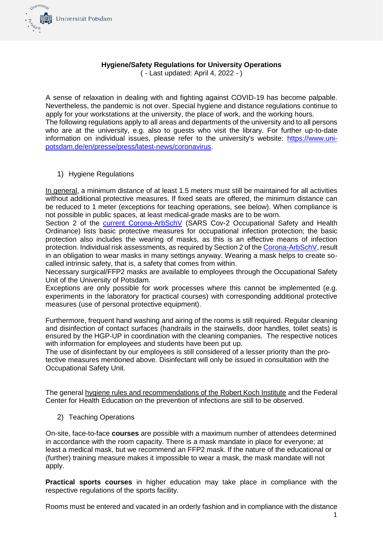

## **Hygiene/Safety Regulations for University Operations**

( - Last updated: April 4, 2022 - )

A sense of relaxation in dealing with and fighting against COVID-19 has become palpable. Nevertheless, the pandemic is not over. Special hygiene and distance regulations continue to apply for your workstations at the university, the place of work, and the working hours. The following regulations apply to all areas and departments of the university and to all persons who are at the university, e.g. also to guests who visit the library. For further up-to-date information on individual issues, please refer to the university's website: [https://www.uni](https://www.uni-potsdam.de/en/presse/press/latest-news/coronavirus)[potsdam.de/en/presse/press/latest-news/coronavirus.](https://www.uni-potsdam.de/en/presse/press/latest-news/coronavirus)

## 1) Hygiene Regulations

In general, a minimum distance of at least 1.5 meters must still be maintained for all activities without additional protective measures. If fixed seats are offered, the minimum distance can be reduced to 1 meter (exceptions for teaching operations, see below). When compliance is not possible in public spaces, at least medical-grade masks are to be worn.

Section 2 of the [current Corona-ArbSchV](http://www.gesetze-im-internet.de/corona-arbschv_2022-03/) (SARS Cov-2 Occupational Safety and Health Ordinance) lists basic protective measures for occupational infection protection; the basic protection also includes the wearing of masks, as this is an effective means of infection protection. Individual risk assessments, as required by Section 2 of th[e Corona-ArbSchV,](http://www.gesetze-im-internet.de/corona-arbschv_2022-03/) result in an obligation to wear masks in many settings anyway. Wearing a mask helps to create socalled intrinsic safety, that is, a safety that comes from within.

Necessary surgical/FFP2 masks are available to employees through the Occupational Safety Unit of the University of Potsdam.

Exceptions are only possible for work processes where this cannot be implemented (e.g. experiments in the laboratory for practical courses) with corresponding additional protective measures (use of personal protective equipment).

Furthermore, frequent hand washing and airing of the rooms is still required. Regular cleaning and disinfection of contact surfaces (handrails in the stairwells, door handles, toilet seats) is ensured by the HGP-UP in coordination with the cleaning companies. The respective notices with information for employees and students have been put up.

The use of disinfectant by our employees is still considered of a lesser priority than the protective measures mentioned above. Disinfectant will only be issued in consultation with the Occupational Safety Unit.

The general [hygiene rules and recommendations of the Robert Koch Institute](https://www.rki.de/DE/Content/InfAZ/N/Neuartiges_Coronavirus/Hygiene_Tab.html) and the Federal Center for Health Education on the prevention of infections are still to be observed.

2) Teaching Operations

On-site, face-to-face **courses** are possible with a maximum number of attendees determined in accordance with the room capacity. There is a mask mandate in place for everyone; at least a medical mask, but we recommend an FFP2 mask. If the nature of the educational or (further) training measure makes it impossible to wear a mask, the mask mandate will not apply.

**Practical sports courses** in higher education may take place in compliance with the respective regulations of the sports facility.

Rooms must be entered and vacated in an orderly fashion and in compliance with the distance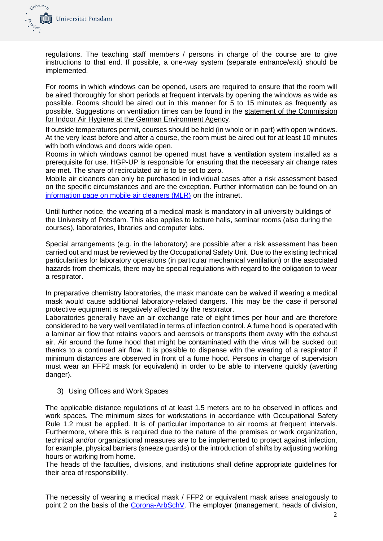

regulations. The teaching staff members / persons in charge of the course are to give instructions to that end. If possible, a one-way system (separate entrance/exit) should be implemented.

For rooms in which windows can be opened, users are required to ensure that the room will be aired thoroughly for short periods at frequent intervals by opening the windows as wide as possible. Rooms should be aired out in this manner for 5 to 15 minutes as frequently as possible. Suggestions on ventilation times can be found in the [statement of the Commission](https://www.hgp-potsdam.de/SW/corona/irk_stellungnahme_lueften_sars-cov-2_0.pdf)  [for Indoor Air Hygiene at the German Environment Agency.](https://www.hgp-potsdam.de/SW/corona/irk_stellungnahme_lueften_sars-cov-2_0.pdf)

If outside temperatures permit, courses should be held (in whole or in part) with open windows. At the very least before and after a course, the room must be aired out for at least 10 minutes with both windows and doors wide open.

Rooms in which windows cannot be opened must have a ventilation system installed as a prerequisite for use. HGP-UP is responsible for ensuring that the necessary air change rates are met. The share of recirculated air is to be set to zero.

Mobile air cleaners can only be purchased in individual cases after a risk assessment based on the specific circumstances and are the exception. Further information can be found on an [information page on mobile air cleaners \(MLR\)](https://www.hgp-potsdam.de/SW/corona/Luftreiniger1.pdf) on the intranet.

Until further notice, the wearing of a medical mask is mandatory in all university buildings of the University of Potsdam. This also applies to lecture halls, seminar rooms (also during the courses), laboratories, libraries and computer labs.

Special arrangements (e.g. in the laboratory) are possible after a risk assessment has been carried out and must be reviewed by the Occupational Safety Unit. Due to the existing technical particularities for laboratory operations (in particular mechanical ventilation) or the associated hazards from chemicals, there may be special regulations with regard to the obligation to wear a respirator.

In preparative chemistry laboratories, the mask mandate can be waived if wearing a medical mask would cause additional laboratory-related dangers. This may be the case if personal protective equipment is negatively affected by the respirator.

Laboratories generally have an air exchange rate of eight times per hour and are therefore considered to be very well ventilated in terms of infection control. A fume hood is operated with a laminar air flow that retains vapors and aerosols or transports them away with the exhaust air. Air around the fume hood that might be contaminated with the virus will be sucked out thanks to a continued air flow. It is possible to dispense with the wearing of a respirator if minimum distances are observed in front of a fume hood. Persons in charge of supervision must wear an FFP2 mask (or equivalent) in order to be able to intervene quickly (averting danger).

3) Using Offices and Work Spaces

The applicable distance regulations of at least 1.5 meters are to be observed in offices and work spaces. The minimum sizes for workstations in accordance with Occupational Safety Rule 1.2 must be applied. It is of particular importance to air rooms at frequent intervals. Furthermore, where this is required due to the nature of the premises or work organization, technical and/or organizational measures are to be implemented to protect against infection, for example, physical barriers (sneeze guards) or the introduction of shifts by adjusting working hours or working from home.

The heads of the faculties, divisions, and institutions shall define appropriate guidelines for their area of responsibility.

The necessity of wearing a medical mask / FFP2 or equivalent mask arises analogously to point 2 on the basis of the [Corona-ArbSchV.](http://www.gesetze-im-internet.de/corona-arbschv_2022-03/) The employer (management, heads of division,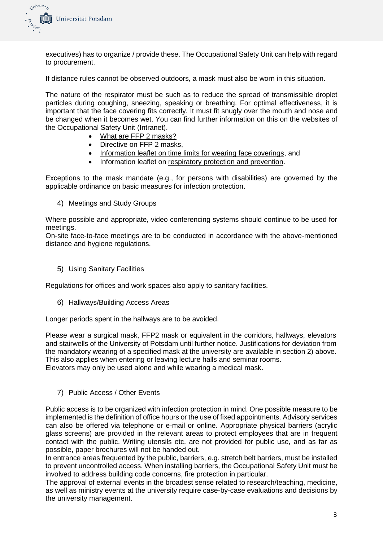

executives) has to organize / provide these. The Occupational Safety Unit can help with regard to procurement.

If distance rules cannot be observed outdoors, a mask must also be worn in this situation.

The nature of the respirator must be such as to reduce the spread of transmissible droplet particles during coughing, sneezing, speaking or breathing. For optimal effectiveness, it is important that the face covering fits correctly. It must fit snugly over the mouth and nose and be changed when it becomes wet. You can find further information on this on the websites of the Occupational Safety Unit (Intranet).

- [What are FFP 2 masks?](https://www.hgp-potsdam.de/SW/corona/Infoblatt-FFP2.pdf)
- [Directive on FFP 2 masks,](http://141.89.101.171/sw/corona/BA%20FFP2.pdf)
- [Information leaflet on time limits for wearing face coverings,](http://141.89.101.171/sw/corona/Infoblatt-Tragezeitbegrenzung%20MNS.pdf) and
- Information leaflet on [respiratory protection and prevention.](http://141.89.101.171/sw/corona/Infoblatt-Atemschutz-Vorsorge.pdf)

Exceptions to the mask mandate (e.g., for persons with disabilities) are governed by the applicable ordinance on basic measures for infection protection.

4) Meetings and Study Groups

Where possible and appropriate, video conferencing systems should continue to be used for meetings.

On-site face-to-face meetings are to be conducted in accordance with the above-mentioned distance and hygiene regulations.

5) Using Sanitary Facilities

Regulations for offices and work spaces also apply to sanitary facilities.

6) Hallways/Building Access Areas

Longer periods spent in the hallways are to be avoided.

Please wear a surgical mask, FFP2 mask or equivalent in the corridors, hallways, elevators and stairwells of the University of Potsdam until further notice. Justifications for deviation from the mandatory wearing of a specified mask at the university are available in section 2) above. This also applies when entering or leaving lecture halls and seminar rooms. Elevators may only be used alone and while wearing a medical mask.

7) Public Access / Other Events

Public access is to be organized with infection protection in mind. One possible measure to be implemented is the definition of office hours or the use of fixed appointments. Advisory services can also be offered via telephone or e-mail or online. Appropriate physical barriers (acrylic glass screens) are provided in the relevant areas to protect employees that are in frequent contact with the public. Writing utensils etc. are not provided for public use, and as far as possible, paper brochures will not be handed out.

In entrance areas frequented by the public, barriers, e.g. stretch belt barriers, must be installed to prevent uncontrolled access. When installing barriers, the Occupational Safety Unit must be involved to address building code concerns, fire protection in particular.

The approval of external events in the broadest sense related to research/teaching, medicine, as well as ministry events at the university require case-by-case evaluations and decisions by the university management.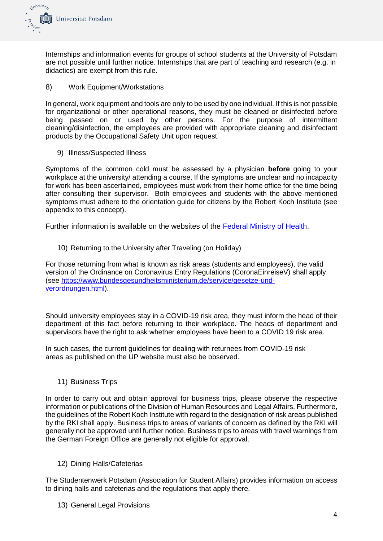

Internships and information events for groups of school students at the University of Potsdam are not possible until further notice. Internships that are part of teaching and research (e.g. in didactics) are exempt from this rule.

8) Work Equipment/Workstations

In general, work equipment and tools are only to be used by one individual. If this is not possible for organizational or other operational reasons, they must be cleaned or disinfected before being passed on or used by other persons. For the purpose of intermittent cleaning/disinfection, the employees are provided with appropriate cleaning and disinfectant products by the Occupational Safety Unit upon request.

9) Illness/Suspected Illness

Symptoms of the common cold must be assessed by a physician **before** going to your workplace at the university/ attending a course. If the symptoms are unclear and no incapacity for work has been ascertained, employees must work from their home office for the time being after consulting their supervisor. Both employees and students with the above-mentioned symptoms must adhere to the orientation guide for citizens by the Robert Koch Institute (see appendix to this concept).

Further information is available on the websites of the [Federal Ministry of Health.](https://www.zusammengegencorona.de/informieren/sich-und-andere-schuetzen/wann-muss-ich-in-quarantaene-und-wann-nicht/)

10) Returning to the University after Traveling (on Holiday)

For those returning from what is known as risk areas (students and employees), the valid version of the Ordinance on Coronavirus Entry Regulations (CoronaEinreiseV) shall apply (see [https://www.bundesgesundheitsministerium.de/service/gesetze-und](https://www.bundesgesundheitsministerium.de/service/gesetze-und-verordnungen.html)[verordnungen.html\)](https://www.bundesgesundheitsministerium.de/service/gesetze-und-verordnungen.html).

Should university employees stay in a COVID-19 risk area, they must inform the head of their department of this fact before returning to their workplace. The heads of department and supervisors have the right to ask whether employees have been to a COVID 19 risk area.

In such cases, the current guidelines for dealing with returnees from COVID-19 risk areas as published on the UP website must also be observed.

11) Business Trips

In order to carry out and obtain approval for business trips, please observe the respective information or publications of the Division of Human Resources and Legal Affairs. Furthermore, the guidelines of the Robert Koch Institute with regard to the designation of risk areas published by the RKI shall apply. Business trips to areas of variants of concern as defined by the RKI will generally not be approved until further notice. Business trips to areas with travel warnings from the German Foreign Office are generally not eligible for approval.

12) Dining Halls/Cafeterias

The Studentenwerk Potsdam (Association for Student Affairs) provides information on access to dining halls and cafeterias and the regulations that apply there.

13) General Legal Provisions